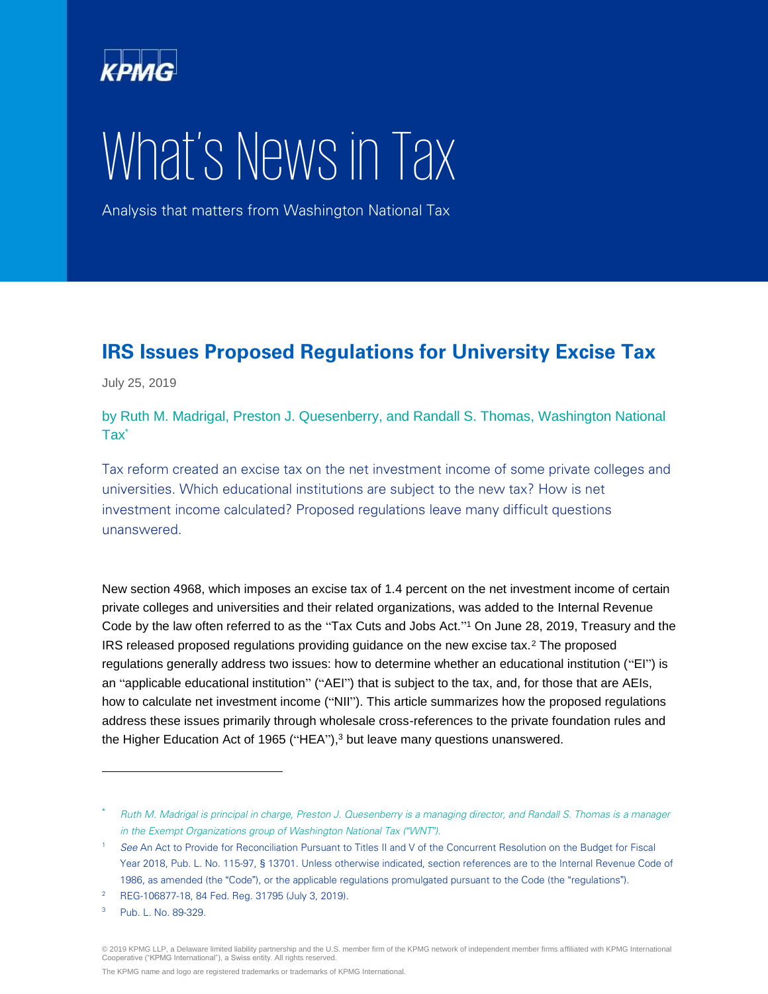

# What's News in Tax

Analysis that matters from Washington National Tax

# **IRS Issues Proposed Regulations for University Excise Tax**

July 25, 2019

by Ruth M. Madrigal, Preston J. Quesenberry, and Randall S. Thomas, Washington National Tax\*

Tax reform created an excise tax on the net investment income of some private colleges and universities. Which educational institutions are subject to the new tax? How is net investment income calculated? Proposed regulations leave many difficult questions unanswered.

New section 4968, which imposes an excise tax of 1.4 percent on the net investment income of certain private colleges and universities and their related organizations, was added to the Internal Revenue Code by the law often referred to as the "Tax Cuts and Jobs Act." <sup>1</sup> On June 28, 2019, Treasury and the IRS released proposed regulations providing guidance on the new excise tax.<sup>2</sup> The proposed regulations generally address two issues: how to determine whether an educational institution ("EI") is an "applicable educational institution" ("AEI") that is subject to the tax, and, for those that are AEIs, how to calculate net investment income ("NII"). This article summarizes how the proposed regulations address these issues primarily through wholesale cross-references to the private foundation rules and the Higher Education Act of 1965 ("HEA"),<sup>3</sup> but leave many questions unanswered.

 $\overline{a}$ 

Ruth M. Madrigal is principal in charge, Preston J. Quesenberry is a managing director, and Randall S. Thomas is a manager in the Exempt Organizations group of Washington National Tax (*"*WNT*"*).

<sup>&</sup>lt;sup>1</sup> See An Act to Provide for Reconciliation Pursuant to Titles II and V of the Concurrent Resolution on the Budget for Fiscal Year 2018, Pub. L. No. 115-97, § 13701. Unless otherwise indicated, section references are to the Internal Revenue Code of 1986, as amended (the "Code"), or the applicable regulations promulgated pursuant to the Code (the "regulations").

<sup>2</sup> REG-106877-18, 84 Fed. Reg. 31795 (July 3, 2019).

<sup>3</sup> Pub. L. No. 89-329.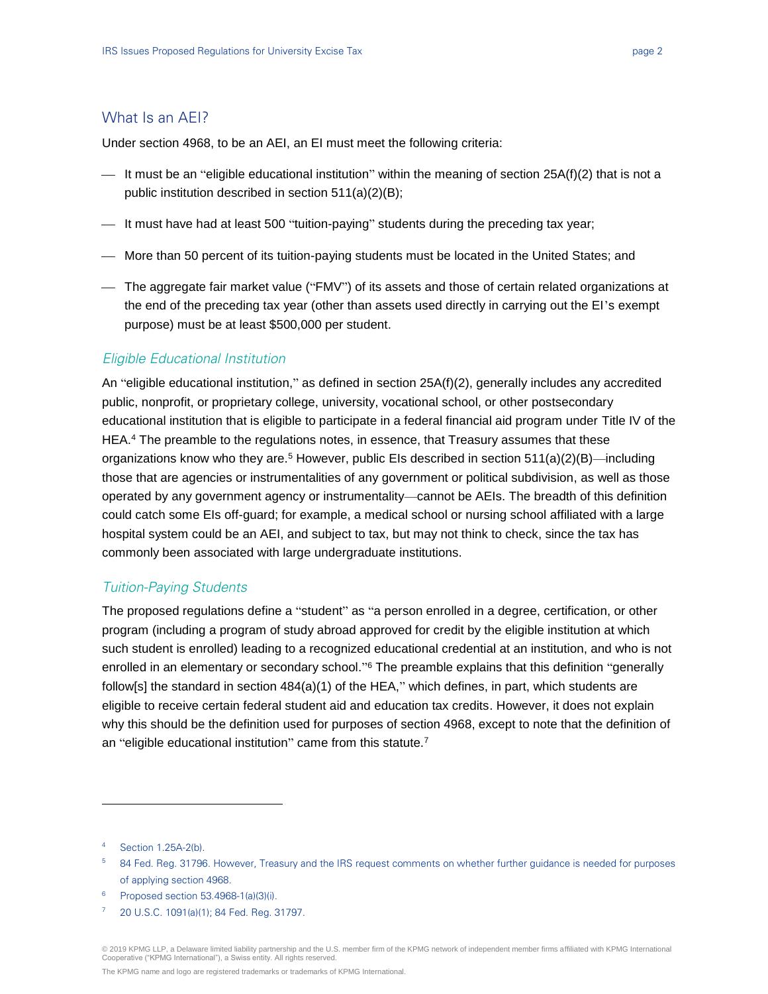# What Is an AEI?

Under section 4968, to be an AEI, an EI must meet the following criteria:

- $-$  It must be an "eligible educational institution" within the meaning of section 25A(f)(2) that is not a public institution described in section 511(a)(2)(B);
- $-$  It must have had at least 500 "tuition-paying" students during the preceding tax year;
- More than 50 percent of its tuition-paying students must be located in the United States; and
- The aggregate fair market value ("FMV") of its assets and those of certain related organizations at the end of the preceding tax year (other than assets used directly in carrying out the EI's exempt purpose) must be at least \$500,000 per student.

## Eligible Educational Institution

An "eligible educational institution," as defined in section 25A(f)(2), generally includes any accredited public, nonprofit, or proprietary college, university, vocational school, or other postsecondary educational institution that is eligible to participate in a federal financial aid program under Title IV of the HEA.<sup>4</sup> The preamble to the regulations notes, in essence, that Treasury assumes that these organizations know who they are.<sup>5</sup> However, public EIs described in section  $511(a)(2)(B)$ —including those that are agencies or instrumentalities of any government or political subdivision, as well as those operated by any government agency or instrumentality—cannot be AEIs. The breadth of this definition could catch some EIs off-guard; for example, a medical school or nursing school affiliated with a large hospital system could be an AEI, and subject to tax, but may not think to check, since the tax has commonly been associated with large undergraduate institutions.

# Tuition-Paying Students

The proposed regulations define a "student" as "a person enrolled in a degree, certification, or other program (including a program of study abroad approved for credit by the eligible institution at which such student is enrolled) leading to a recognized educational credential at an institution, and who is not enrolled in an elementary or secondary school."<sup>6</sup> The preamble explains that this definition "generally follow[s] the standard in section  $484(a)(1)$  of the HEA," which defines, in part, which students are eligible to receive certain federal student aid and education tax credits. However, it does not explain why this should be the definition used for purposes of section 4968, except to note that the definition of an "eligible educational institution" came from this statute.<sup>7</sup>

 $\overline{a}$ 

<sup>6</sup> Proposed section 53.4968-1(a)(3)(i).

<sup>4</sup> Section 1.25A-2(b).

<sup>&</sup>lt;sup>5</sup> 84 Fed. Reg. 31796. However, Treasury and the IRS request comments on whether further guidance is needed for purposes of applying section 4968.

<sup>7</sup> 20 U.S.C. 1091(a)(1); 84 Fed. Reg. 31797.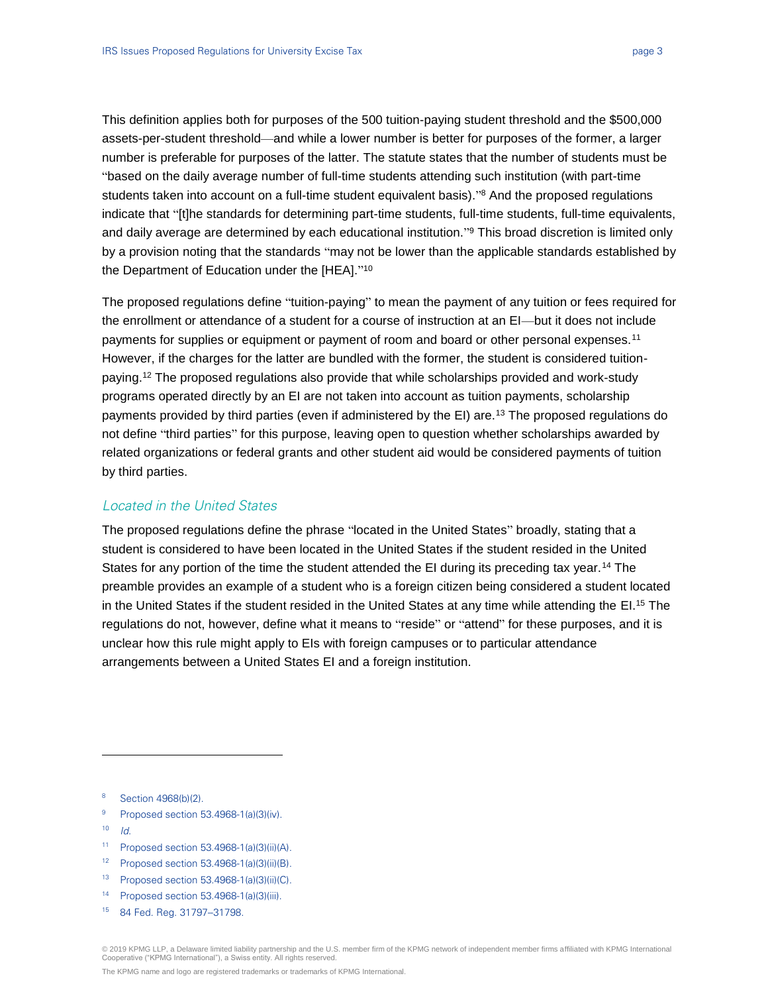This definition applies both for purposes of the 500 tuition-paying student threshold and the \$500,000 assets-per-student threshold—and while a lower number is better for purposes of the former, a larger number is preferable for purposes of the latter. The statute states that the number of students must be "based on the daily average number of full-time students attending such institution (with part-time students taken into account on a full-time student equivalent basis)." <sup>8</sup> And the proposed regulations indicate that "[t]he standards for determining part-time students, full-time students, full-time equivalents, and daily average are determined by each educational institution." <sup>9</sup> This broad discretion is limited only by a provision noting that the standards "may not be lower than the applicable standards established by the Department of Education under the [HEA]." 10

The proposed regulations define "tuition-paying" to mean the payment of any tuition or fees required for the enrollment or attendance of a student for a course of instruction at an EI—but it does not include payments for supplies or equipment or payment of room and board or other personal expenses.<sup>11</sup> However, if the charges for the latter are bundled with the former, the student is considered tuitionpaying.<sup>12</sup> The proposed regulations also provide that while scholarships provided and work-study programs operated directly by an EI are not taken into account as tuition payments, scholarship payments provided by third parties (even if administered by the EI) are.<sup>13</sup> The proposed regulations do not define "third parties" for this purpose, leaving open to question whether scholarships awarded by related organizations or federal grants and other student aid would be considered payments of tuition by third parties.

#### Located in the United States

The proposed regulations define the phrase "located in the United States" broadly, stating that a student is considered to have been located in the United States if the student resided in the United States for any portion of the time the student attended the EI during its preceding tax year.<sup>14</sup> The preamble provides an example of a student who is a foreign citizen being considered a student located in the United States if the student resided in the United States at any time while attending the EI. <sup>15</sup> The regulations do not, however, define what it means to "reside" or "attend" for these purposes, and it is unclear how this rule might apply to EIs with foreign campuses or to particular attendance arrangements between a United States EI and a foreign institution.

- <sup>9</sup> Proposed section 53.4968-1(a)(3)(iv).
- $10$  *Id.*

 $\overline{a}$ 

- <sup>11</sup> Proposed section 53.4968-1(a)(3)(ii)(A).
- <sup>12</sup> Proposed section 53.4968-1(a)(3)(ii)(B).
- <sup>13</sup> Proposed section 53.4968-1(a)(3)(ii)(C).
- <sup>14</sup> Proposed section 53.4968-1(a)(3)(iii).
- <sup>15</sup> 84 Fed. Reg. 31797--31798.

<sup>8</sup> Section 4968(b)(2).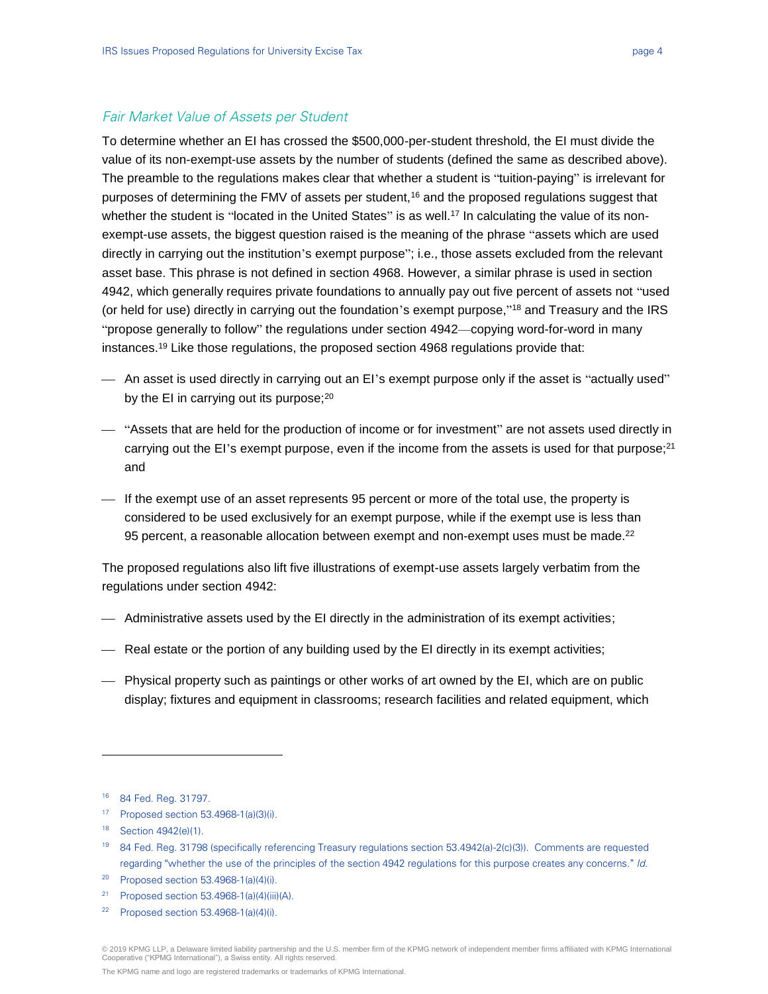#### Fair Market Value of Assets per Student

To determine whether an EI has crossed the \$500,000-per-student threshold, the EI must divide the value of its non-exempt-use assets by the number of students (defined the same as described above). The preamble to the regulations makes clear that whether a student is "tuition-paying" is irrelevant for purposes of determining the FMV of assets per student,<sup>16</sup> and the proposed regulations suggest that whether the student is "located in the United States" is as well.<sup>17</sup> In calculating the value of its nonexempt-use assets, the biggest question raised is the meaning of the phrase "assets which are used directly in carrying out the institution's exempt purpose"; i.e., those assets excluded from the relevant asset base. This phrase is not defined in section 4968. However, a similar phrase is used in section 4942, which generally requires private foundations to annually pay out five percent of assets not "used (or held for use) directly in carrying out the foundation's exempt purpose,"<sup>18</sup> and Treasury and the IRS "propose generally to follow" the regulations under section 4942—copying word-for-word in many instances.<sup>19</sup> Like those regulations, the proposed section 4968 regulations provide that:

- An asset is used directly in carrying out an EI's exempt purpose only if the asset is "actually used" by the EI in carrying out its purpose;<sup>20</sup>
- "Assets that are held for the production of income or for investment" are not assets used directly in carrying out the EI's exempt purpose, even if the income from the assets is used for that purpose;<sup>21</sup> and
- $\overline{a}$  If the exempt use of an asset represents 95 percent or more of the total use, the property is considered to be used exclusively for an exempt purpose, while if the exempt use is less than 95 percent, a reasonable allocation between exempt and non-exempt uses must be made.<sup>22</sup>

The proposed regulations also lift five illustrations of exempt-use assets largely verbatim from the regulations under section 4942:

- Administrative assets used by the EI directly in the administration of its exempt activities;
- Real estate or the portion of any building used by the EI directly in its exempt activities;
- Physical property such as paintings or other works of art owned by the EI, which are on public display; fixtures and equipment in classrooms; research facilities and related equipment, which

 $\overline{a}$ 

<sup>18</sup> Section 4942(e)(1).

- <sup>20</sup> Proposed section 53.4968-1(a)(4)(i).
- <sup>21</sup> Proposed section 53.4968-1(a)(4)(iii)(A).

<sup>16</sup> 84 Fed. Reg. 31797.

<sup>17</sup> Proposed section 53.4968-1(a)(3)(i).

<sup>19</sup> 84 Fed. Reg. 31798 (specifically referencing Treasury regulations section 53.4942(a)-2(c)(3)). Comments are requested regarding "whether the use of the principles of the section 4942 regulations for this purpose creates any concerns." Id.

 $22$  Proposed section 53.4968-1(a)(4)(i).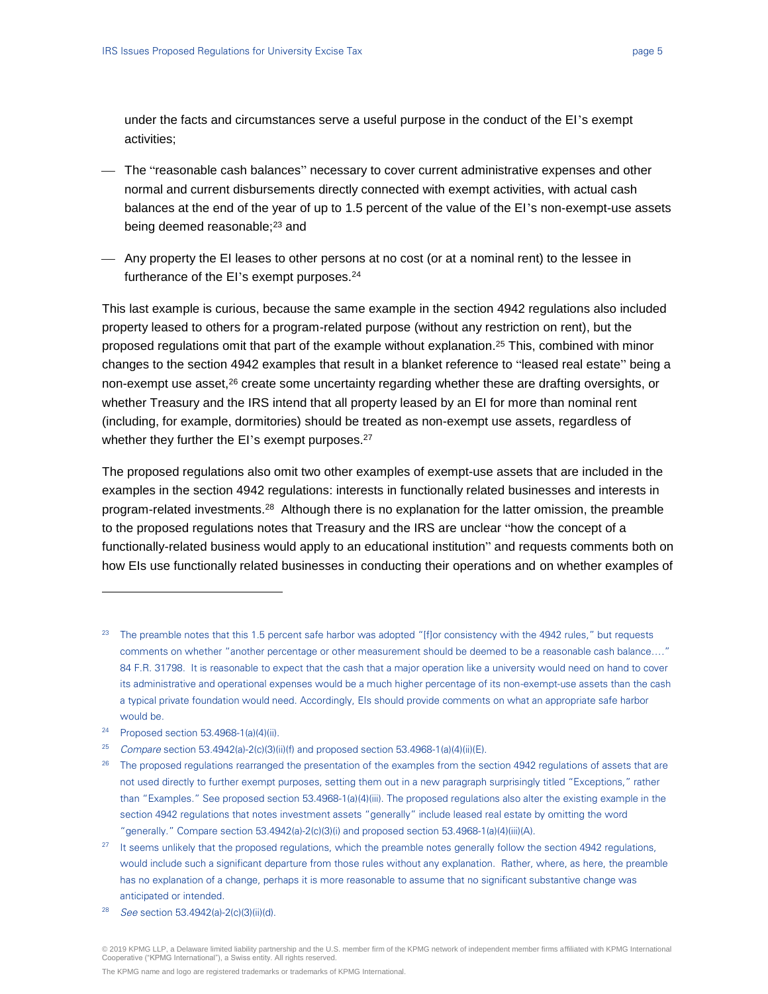under the facts and circumstances serve a useful purpose in the conduct of the EI's exempt activities;

- $-$  The "reasonable cash balances" necessary to cover current administrative expenses and other normal and current disbursements directly connected with exempt activities, with actual cash balances at the end of the year of up to 1.5 percent of the value of the EI's non-exempt-use assets being deemed reasonable;<sup>23</sup> and
- Any property the EI leases to other persons at no cost (or at a nominal rent) to the lessee in furtherance of the EI's exempt purposes.<sup>24</sup>

This last example is curious, because the same example in the section 4942 regulations also included property leased to others for a program-related purpose (without any restriction on rent), but the proposed regulations omit that part of the example without explanation. <sup>25</sup> This, combined with minor changes to the section 4942 examples that result in a blanket reference to "leased real estate" being a non-exempt use asset,<sup>26</sup> create some uncertainty regarding whether these are drafting oversights, or whether Treasury and the IRS intend that all property leased by an EI for more than nominal rent (including, for example, dormitories) should be treated as non-exempt use assets, regardless of whether they further the EI's exempt purposes.<sup>27</sup>

The proposed regulations also omit two other examples of exempt-use assets that are included in the examples in the section 4942 regulations: interests in functionally related businesses and interests in program-related investments.<sup>28</sup> Although there is no explanation for the latter omission, the preamble to the proposed regulations notes that Treasury and the IRS are unclear "how the concept of a functionally-related business would apply to an educational institution" and requests comments both on how EIs use functionally related businesses in conducting their operations and on whether examples of

<sup>24</sup> Proposed section 53.4968-1(a)(4)(ii).

 $\overline{a}$ 

 $23$  The preamble notes that this 1.5 percent safe harbor was adopted "[f]or consistency with the 4942 rules," but requests comments on whether "another percentage or other measurement should be deemed to be a reasonable cash balance…." 84 F.R. 31798. It is reasonable to expect that the cash that a major operation like a university would need on hand to cover its administrative and operational expenses would be a much higher percentage of its non-exempt-use assets than the cash a typical private foundation would need. Accordingly, Els should provide comments on what an appropriate safe harbor would be.

<sup>25</sup> Compare section 53.4942(a)-2(c)(3)(ii)(f) and proposed section 53.4968-1(a)(4)(ii)(E).

<sup>&</sup>lt;sup>26</sup> The proposed regulations rearranged the presentation of the examples from the section 4942 regulations of assets that are not used directly to further exempt purposes, setting them out in a new paragraph surprisingly titled "Exceptions," rather than "Examples." See proposed section 53.4968-1(a)(4)(iii). The proposed regulations also alter the existing example in the section 4942 regulations that notes investment assets "generally" include leased real estate by omitting the word "generally." Compare section 53.4942(a)-2(c)(3)(i) and proposed section 53.4968-1(a)(4)(iii)(A).

<sup>&</sup>lt;sup>27</sup> It seems unlikely that the proposed regulations, which the preamble notes generally follow the section 4942 regulations, would include such a significant departure from those rules without any explanation. Rather, where, as here, the preamble has no explanation of a change, perhaps it is more reasonable to assume that no significant substantive change was anticipated or intended.

<sup>28</sup> See section 53.4942(a)-2(c)(3)(ii)(d).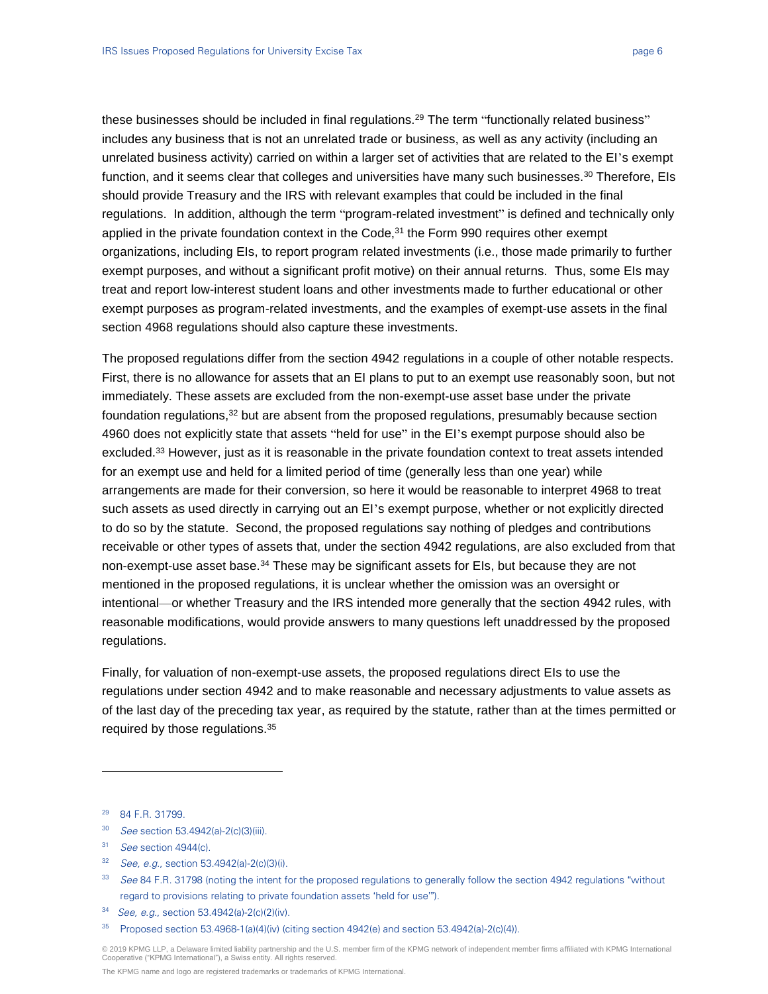these businesses should be included in final regulations.<sup>29</sup> The term "functionally related business" includes any business that is not an unrelated trade or business, as well as any activity (including an unrelated business activity) carried on within a larger set of activities that are related to the EI's exempt function, and it seems clear that colleges and universities have many such businesses.<sup>30</sup> Therefore, EIs should provide Treasury and the IRS with relevant examples that could be included in the final regulations. In addition, although the term "program-related investment" is defined and technically only applied in the private foundation context in the Code, $31$  the Form 990 requires other exempt organizations, including EIs, to report program related investments (i.e., those made primarily to further exempt purposes, and without a significant profit motive) on their annual returns. Thus, some EIs may treat and report low-interest student loans and other investments made to further educational or other exempt purposes as program-related investments, and the examples of exempt-use assets in the final section 4968 regulations should also capture these investments.

The proposed regulations differ from the section 4942 regulations in a couple of other notable respects. First, there is no allowance for assets that an EI plans to put to an exempt use reasonably soon, but not immediately. These assets are excluded from the non-exempt-use asset base under the private foundation regulations,<sup>32</sup> but are absent from the proposed regulations, presumably because section 4960 does not explicitly state that assets "held for use" in the EI's exempt purpose should also be excluded.<sup>33</sup> However, just as it is reasonable in the private foundation context to treat assets intended for an exempt use and held for a limited period of time (generally less than one year) while arrangements are made for their conversion, so here it would be reasonable to interpret 4968 to treat such assets as used directly in carrying out an EI's exempt purpose, whether or not explicitly directed to do so by the statute. Second, the proposed regulations say nothing of pledges and contributions receivable or other types of assets that, under the section 4942 regulations, are also excluded from that non-exempt-use asset base.<sup>34</sup> These may be significant assets for EIs, but because they are not mentioned in the proposed regulations, it is unclear whether the omission was an oversight or intentional—or whether Treasury and the IRS intended more generally that the section 4942 rules, with reasonable modifications, would provide answers to many questions left unaddressed by the proposed regulations.

Finally, for valuation of non-exempt-use assets, the proposed regulations direct EIs to use the regulations under section 4942 and to make reasonable and necessary adjustments to value assets as of the last day of the preceding tax year, as required by the statute, rather than at the times permitted or required by those regulations.<sup>35</sup>

 $\overline{a}$ 

30 See section 53.4942(a)-2(c)(3)(iii).

<sup>32</sup> See, e.g., section 53.4942(a)-2(c)(3)(i).

© 2019 KPMG LLP, a Delaware limited liability partnership and the U.S. member firm of the KPMG network of independent member firms affiliated with KPMG International Cooperative ("KPMG International"), a Swiss entity. All rights reserved.

<sup>29</sup> 84 F.R. 31799.

 $31$  See section 4944(c).

<sup>33</sup> See 84 F.R. 31798 (noting the intent for the proposed regulations to generally follow the section 4942 regulations "without regard to provisions relating to private foundation assets 'held for use'").

<sup>34</sup> See, e.g., section 53.4942(a)-2(c)(2)(iv).

 $35$  Proposed section 53.4968-1(a)(4)(iv) (citing section 4942(e) and section 53.4942(a)-2(c)(4)).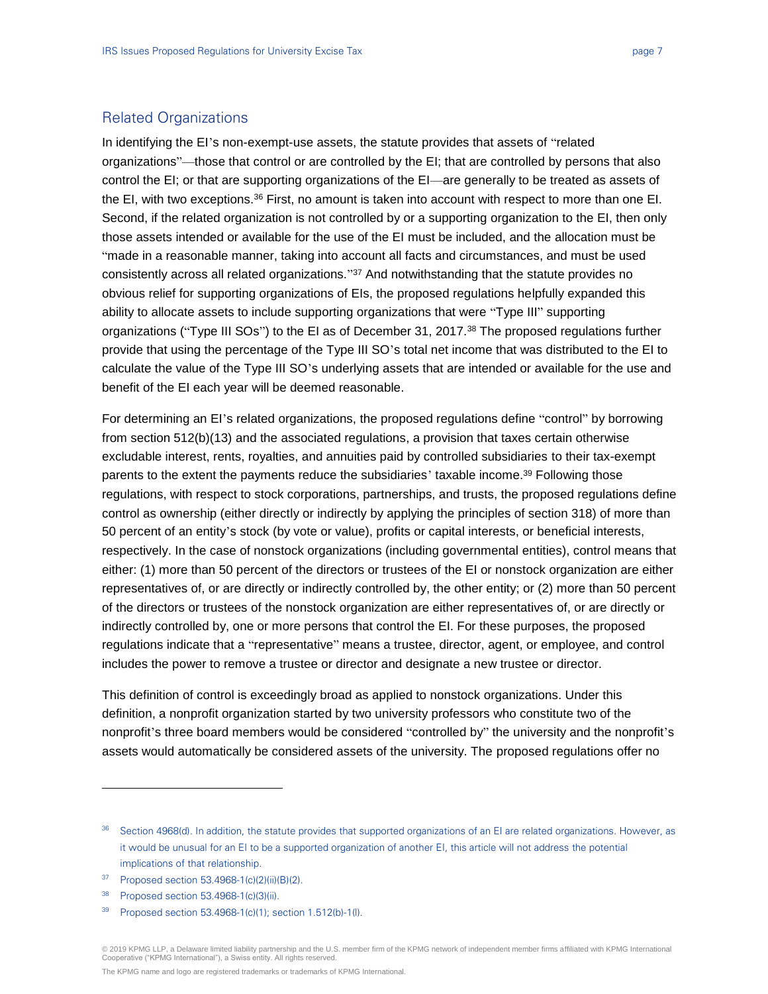# Related Organizations

In identifying the EI's non-exempt-use assets, the statute provides that assets of "related organizations"—those that control or are controlled by the EI; that are controlled by persons that also control the EI; or that are supporting organizations of the EI—are generally to be treated as assets of the EI, with two exceptions.<sup>36</sup> First, no amount is taken into account with respect to more than one EI. Second, if the related organization is not controlled by or a supporting organization to the EI, then only those assets intended or available for the use of the EI must be included, and the allocation must be "made in a reasonable manner, taking into account all facts and circumstances, and must be used consistently across all related organizations." <sup>37</sup> And notwithstanding that the statute provides no obvious relief for supporting organizations of EIs, the proposed regulations helpfully expanded this ability to allocate assets to include supporting organizations that were "Type III" supporting organizations ("Type III SOs") to the EI as of December 31, 2017.<sup>38</sup> The proposed regulations further provide that using the percentage of the Type III SO's total net income that was distributed to the EI to calculate the value of the Type III SO's underlying assets that are intended or available for the use and benefit of the EI each year will be deemed reasonable.

For determining an EI's related organizations, the proposed regulations define "control" by borrowing from section 512(b)(13) and the associated regulations, a provision that taxes certain otherwise excludable interest, rents, royalties, and annuities paid by controlled subsidiaries to their tax-exempt parents to the extent the payments reduce the subsidiaries' taxable income.<sup>39</sup> Following those regulations, with respect to stock corporations, partnerships, and trusts, the proposed regulations define control as ownership (either directly or indirectly by applying the principles of section 318) of more than 50 percent of an entity's stock (by vote or value), profits or capital interests, or beneficial interests, respectively. In the case of nonstock organizations (including governmental entities), control means that either: (1) more than 50 percent of the directors or trustees of the EI or nonstock organization are either representatives of, or are directly or indirectly controlled by, the other entity; or (2) more than 50 percent of the directors or trustees of the nonstock organization are either representatives of, or are directly or indirectly controlled by, one or more persons that control the EI. For these purposes, the proposed regulations indicate that a "representative" means a trustee, director, agent, or employee, and control includes the power to remove a trustee or director and designate a new trustee or director.

This definition of control is exceedingly broad as applied to nonstock organizations. Under this definition, a nonprofit organization started by two university professors who constitute two of the nonprofit's three board members would be considered "controlled by" the university and the nonprofit's assets would automatically be considered assets of the university. The proposed regulations offer no

l

<sup>36</sup> Section 4968(d). In addition, the statute provides that supported organizations of an EI are related organizations. However, as it would be unusual for an EI to be a supported organization of another EI, this article will not address the potential implications of that relationship.

<sup>37</sup> Proposed section 53.4968-1(c)(2)(ii)(B)(2).

<sup>38</sup> Proposed section 53.4968-1(c)(3)(ii).

<sup>39</sup> Proposed section 53.4968-1(c)(1); section 1.512(b)-1(l).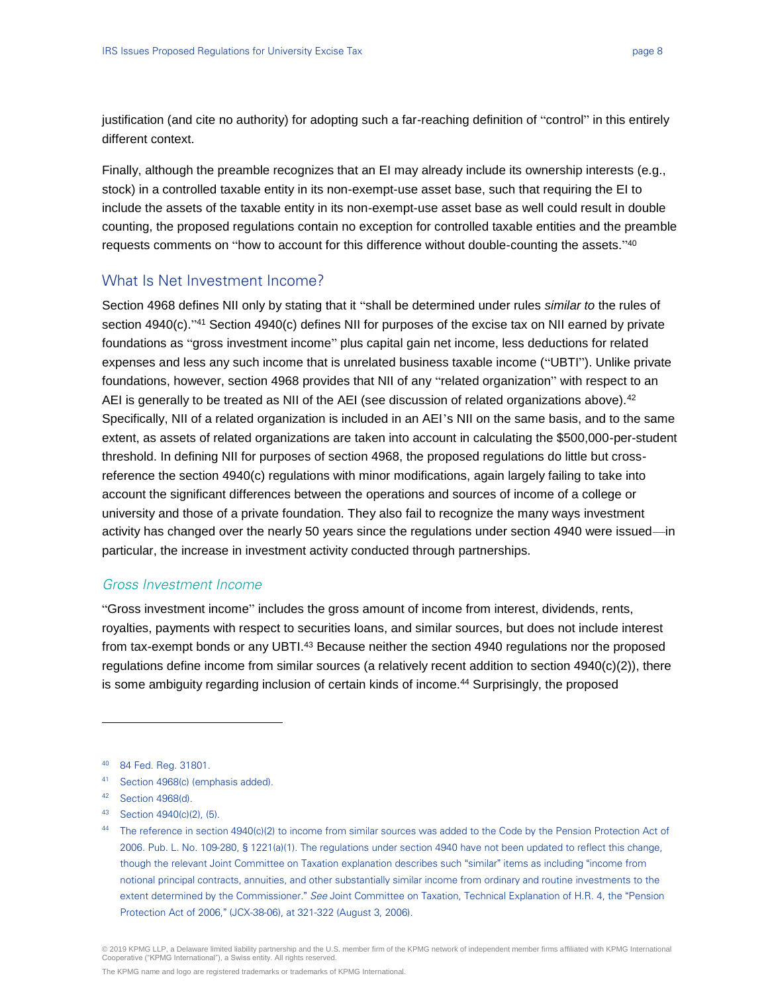justification (and cite no authority) for adopting such a far-reaching definition of "control" in this entirely different context.

Finally, although the preamble recognizes that an EI may already include its ownership interests (e.g., stock) in a controlled taxable entity in its non-exempt-use asset base, such that requiring the EI to include the assets of the taxable entity in its non-exempt-use asset base as well could result in double counting, the proposed regulations contain no exception for controlled taxable entities and the preamble requests comments on "how to account for this difference without double-counting the assets." 40

## What Is Net Investment Income?

Section 4968 defines NII only by stating that it "shall be determined under rules *similar to* the rules of section 4940(c)."<sup>41</sup> Section 4940(c) defines NII for purposes of the excise tax on NII earned by private foundations as "gross investment income" plus capital gain net income, less deductions for related expenses and less any such income that is unrelated business taxable income ("UBTI"). Unlike private foundations, however, section 4968 provides that NII of any "related organization" with respect to an AEI is generally to be treated as NII of the AEI (see discussion of related organizations above).<sup>42</sup> Specifically, NII of a related organization is included in an AEI's NII on the same basis, and to the same extent, as assets of related organizations are taken into account in calculating the \$500,000-per-student threshold. In defining NII for purposes of section 4968, the proposed regulations do little but crossreference the section 4940(c) regulations with minor modifications, again largely failing to take into account the significant differences between the operations and sources of income of a college or university and those of a private foundation. They also fail to recognize the many ways investment activity has changed over the nearly 50 years since the regulations under section 4940 were issued—in particular, the increase in investment activity conducted through partnerships.

#### Gross Investment Income

"Gross investment income" includes the gross amount of income from interest, dividends, rents, royalties, payments with respect to securities loans, and similar sources, but does not include interest from tax-exempt bonds or any UBTI.<sup>43</sup> Because neither the section 4940 regulations nor the proposed regulations define income from similar sources (a relatively recent addition to section 4940(c)(2)), there is some ambiguity regarding inclusion of certain kinds of income.<sup>44</sup> Surprisingly, the proposed

 $\overline{a}$ 

- <sup>43</sup> Section 4940(c)(2), (5).
- 44 The reference in section 4940(c)(2) to income from similar sources was added to the Code by the Pension Protection Act of 2006. Pub. L. No. 109-280, § 1221(a)(1). The regulations under section 4940 have not been updated to reflect this change, though the relevant Joint Committee on Taxation explanation describes such "similar" items as including "income from notional principal contracts, annuities, and other substantially similar income from ordinary and routine investments to the extent determined by the Commissioner." See Joint Committee on Taxation, Technical Explanation of H.R. 4, the "Pension Protection Act of 2006," (JCX-38-06), at 321-322 (August 3, 2006).

<sup>40</sup> 84 Fed. Reg. 31801.

<sup>41</sup> Section 4968(c) (emphasis added).

<sup>42</sup> Section 4968(d).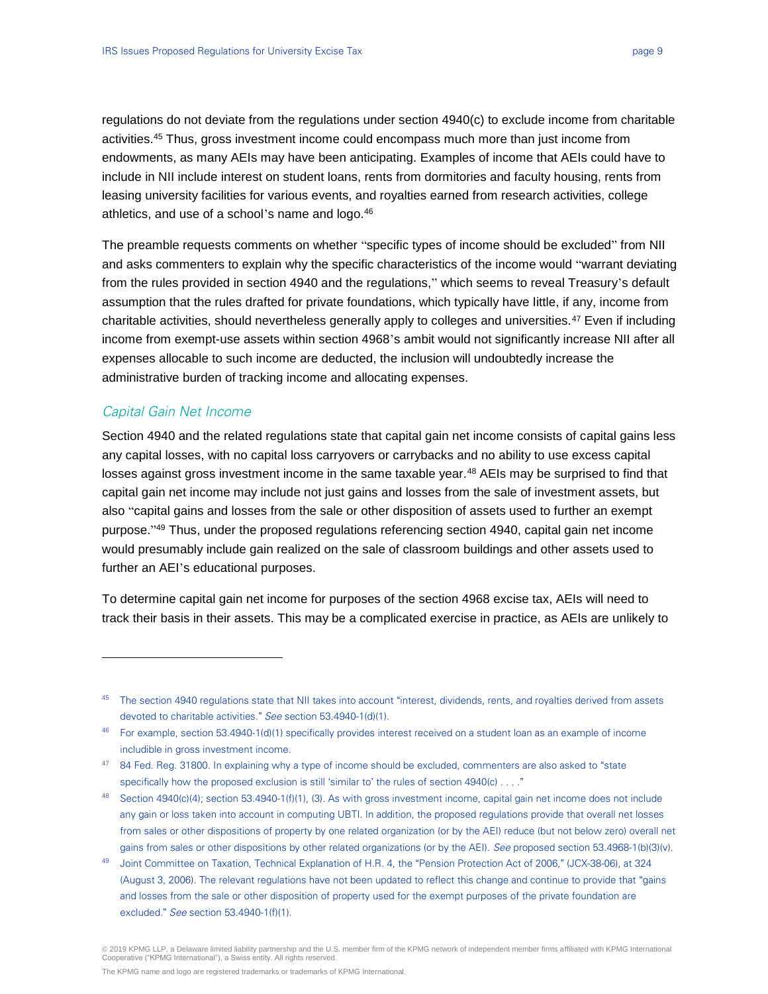regulations do not deviate from the regulations under section 4940(c) to exclude income from charitable activities.<sup>45</sup> Thus, gross investment income could encompass much more than just income from endowments, as many AEIs may have been anticipating. Examples of income that AEIs could have to include in NII include interest on student loans, rents from dormitories and faculty housing, rents from leasing university facilities for various events, and royalties earned from research activities, college athletics, and use of a school's name and logo.<sup>46</sup>

The preamble requests comments on whether "specific types of income should be excluded" from NII and asks commenters to explain why the specific characteristics of the income would "warrant deviating from the rules provided in section 4940 and the regulations," which seems to reveal Treasury's default assumption that the rules drafted for private foundations, which typically have little, if any, income from charitable activities, should nevertheless generally apply to colleges and universities.<sup>47</sup> Even if including income from exempt-use assets within section 4968's ambit would not significantly increase NII after all expenses allocable to such income are deducted, the inclusion will undoubtedly increase the administrative burden of tracking income and allocating expenses.

#### Capital Gain Net Income

 $\overline{a}$ 

Section 4940 and the related regulations state that capital gain net income consists of capital gains less any capital losses, with no capital loss carryovers or carrybacks and no ability to use excess capital losses against gross investment income in the same taxable year.<sup>48</sup> AEIs may be surprised to find that capital gain net income may include not just gains and losses from the sale of investment assets, but also "capital gains and losses from the sale or other disposition of assets used to further an exempt purpose." <sup>49</sup> Thus, under the proposed regulations referencing section 4940, capital gain net income would presumably include gain realized on the sale of classroom buildings and other assets used to further an AEI's educational purposes.

To determine capital gain net income for purposes of the section 4968 excise tax, AEIs will need to track their basis in their assets. This may be a complicated exercise in practice, as AEIs are unlikely to

<sup>&</sup>lt;sup>45</sup> The section 4940 regulations state that NII takes into account "interest, dividends, rents, and royalties derived from assets devoted to charitable activities." See section 53.4940-1(d)(1).

<sup>&</sup>lt;sup>46</sup> For example, section 53.4940-1(d)(1) specifically provides interest received on a student loan as an example of income includible in gross investment income.

<sup>47 84</sup> Fed. Reg. 31800. In explaining why a type of income should be excluded, commenters are also asked to "state specifically how the proposed exclusion is still 'similar to' the rules of section 4940(c) . . . ."

<sup>&</sup>lt;sup>48</sup> Section 4940(c)(4); section 53.4940-1(f)(1), (3). As with gross investment income, capital gain net income does not include any gain or loss taken into account in computing UBTI. In addition, the proposed regulations provide that overall net losses from sales or other dispositions of property by one related organization (or by the AEI) reduce (but not below zero) overall net gains from sales or other dispositions by other related organizations (or by the AEI). See proposed section 53.4968-1(b)(3)(v).

<sup>49</sup> Joint Committee on Taxation, Technical Explanation of H.R. 4, the "Pension Protection Act of 2006," (JCX-38-06), at 324 (August 3, 2006). The relevant regulations have not been updated to reflect this change and continue to provide that "gains and losses from the sale or other disposition of property used for the exempt purposes of the private foundation are excluded." See section 53.4940-1(f)(1).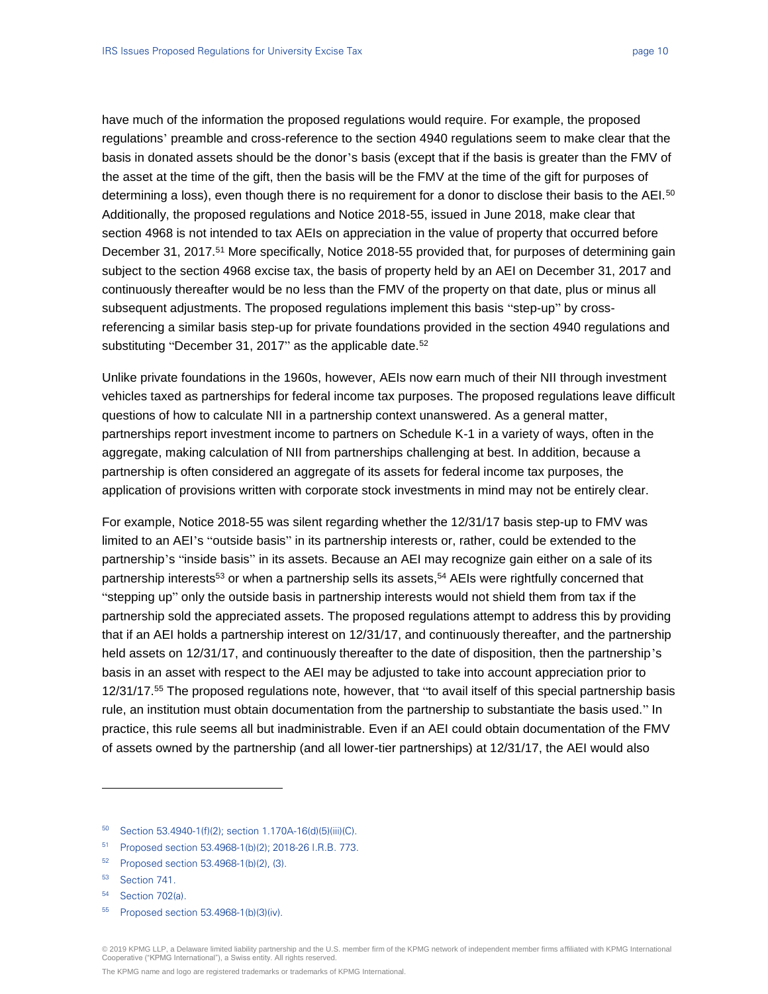have much of the information the proposed regulations would require. For example, the proposed regulations' preamble and cross-reference to the section 4940 regulations seem to make clear that the basis in donated assets should be the donor's basis (except that if the basis is greater than the FMV of the asset at the time of the gift, then the basis will be the FMV at the time of the gift for purposes of determining a loss), even though there is no requirement for a donor to disclose their basis to the AEI.<sup>50</sup> Additionally, the proposed regulations and Notice 2018-55, issued in June 2018, make clear that section 4968 is not intended to tax AEIs on appreciation in the value of property that occurred before December 31, 2017.<sup>51</sup> More specifically, Notice 2018-55 provided that, for purposes of determining gain subject to the section 4968 excise tax, the basis of property held by an AEI on December 31, 2017 and continuously thereafter would be no less than the FMV of the property on that date, plus or minus all subsequent adjustments. The proposed regulations implement this basis "step-up" by crossreferencing a similar basis step-up for private foundations provided in the section 4940 regulations and substituting "December 31, 2017" as the applicable date.<sup>52</sup>

Unlike private foundations in the 1960s, however, AEIs now earn much of their NII through investment vehicles taxed as partnerships for federal income tax purposes. The proposed regulations leave difficult questions of how to calculate NII in a partnership context unanswered. As a general matter, partnerships report investment income to partners on Schedule K-1 in a variety of ways, often in the aggregate, making calculation of NII from partnerships challenging at best. In addition, because a partnership is often considered an aggregate of its assets for federal income tax purposes, the application of provisions written with corporate stock investments in mind may not be entirely clear.

For example, Notice 2018-55 was silent regarding whether the 12/31/17 basis step-up to FMV was limited to an AEI's "outside basis" in its partnership interests or, rather, could be extended to the partnership's "inside basis" in its assets. Because an AEI may recognize gain either on a sale of its partnership interests<sup>53</sup> or when a partnership sells its assets,<sup>54</sup> AEIs were rightfully concerned that "stepping up" only the outside basis in partnership interests would not shield them from tax if the partnership sold the appreciated assets. The proposed regulations attempt to address this by providing that if an AEI holds a partnership interest on 12/31/17, and continuously thereafter, and the partnership held assets on 12/31/17, and continuously thereafter to the date of disposition, then the partnership's basis in an asset with respect to the AEI may be adjusted to take into account appreciation prior to 12/31/17.<sup>55</sup> The proposed regulations note, however, that "to avail itself of this special partnership basis rule, an institution must obtain documentation from the partnership to substantiate the basis used." In practice, this rule seems all but inadministrable. Even if an AEI could obtain documentation of the FMV of assets owned by the partnership (and all lower-tier partnerships) at 12/31/17, the AEI would also

- <sup>51</sup> Proposed section 53.4968-1(b)(2); 2018-26 I.R.B. 773.
- <sup>52</sup> Proposed section 53.4968-1(b)(2), (3).

l

<sup>54</sup> Section 702(a).

<sup>50</sup> Section 53.4940-1(f)(2); section 1.170A-16(d)(5)(iii)(C).

<sup>53</sup> Section 741.

<sup>55</sup> Proposed section 53.4968-1(b)(3)(iv).